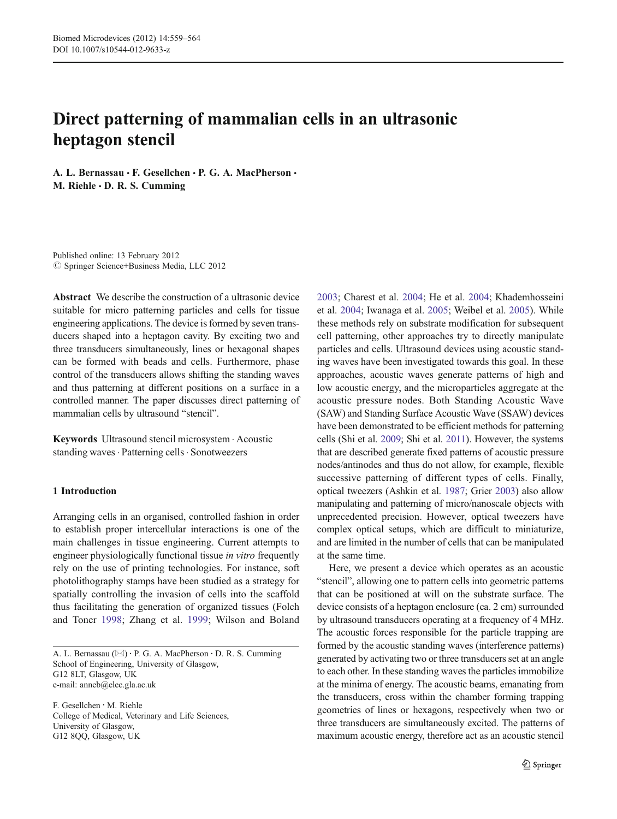# Direct patterning of mammalian cells in an ultrasonic heptagon stencil

A. L. Bernassau · F. Gesellchen · P. G. A. MacPherson · M. Riehle  $\cdot$  D. R. S. Cumming

Published online: 13 February 2012  $©$  Springer Science+Business Media, LLC 2012

Abstract We describe the construction of a ultrasonic device suitable for micro patterning particles and cells for tissue engineering applications. The device is formed by seven transducers shaped into a heptagon cavity. By exciting two and three transducers simultaneously, lines or hexagonal shapes can be formed with beads and cells. Furthermore, phase control of the transducers allows shifting the standing waves and thus patterning at different positions on a surface in a controlled manner. The paper discusses direct patterning of mammalian cells by ultrasound "stencil".

Keywords Ultrasound stencil microsystem . Acoustic standing waves · Patterning cells · Sonotweezers

# 1 Introduction

Arranging cells in an organised, controlled fashion in order to establish proper intercellular interactions is one of the main challenges in tissue engineering. Current attempts to engineer physiologically functional tissue *in vitro* frequently rely on the use of printing technologies. For instance, soft photolithography stamps have been studied as a strategy for spatially controlling the invasion of cells into the scaffold thus facilitating the generation of organized tissues (Folch and Toner [1998;](#page-5-0) Zhang et al. [1999](#page-5-0); Wilson and Boland

A. L. Bernassau (⊠) · P. G. A. MacPherson · D. R. S. Cumming School of Engineering, University of Glasgow, G12 8LT, Glasgow, UK e-mail: anneb@elec.gla.ac.uk

F. Gesellchen : M. Riehle College of Medical, Veterinary and Life Sciences, University of Glasgow, G12 8QQ, Glasgow, UK

[2003](#page-5-0); Charest et al. [2004;](#page-5-0) He et al. [2004](#page-5-0); Khademhosseini et al. [2004;](#page-5-0) Iwanaga et al. [2005;](#page-5-0) Weibel et al. [2005\)](#page-5-0). While these methods rely on substrate modification for subsequent cell patterning, other approaches try to directly manipulate particles and cells. Ultrasound devices using acoustic standing waves have been investigated towards this goal. In these approaches, acoustic waves generate patterns of high and low acoustic energy, and the microparticles aggregate at the acoustic pressure nodes. Both Standing Acoustic Wave (SAW) and Standing Surface Acoustic Wave (SSAW) devices have been demonstrated to be efficient methods for patterning cells (Shi et al. [2009](#page-5-0); Shi et al. [2011\)](#page-5-0). However, the systems that are described generate fixed patterns of acoustic pressure nodes/antinodes and thus do not allow, for example, flexible successive patterning of different types of cells. Finally, optical tweezers (Ashkin et al. [1987;](#page-5-0) Grier [2003\)](#page-5-0) also allow manipulating and patterning of micro/nanoscale objects with unprecedented precision. However, optical tweezers have complex optical setups, which are difficult to miniaturize, and are limited in the number of cells that can be manipulated at the same time.

Here, we present a device which operates as an acoustic "stencil", allowing one to pattern cells into geometric patterns that can be positioned at will on the substrate surface. The device consists of a heptagon enclosure (ca. 2 cm) surrounded by ultrasound transducers operating at a frequency of 4 MHz. The acoustic forces responsible for the particle trapping are formed by the acoustic standing waves (interference patterns) generated by activating two or three transducers set at an angle to each other. In these standing waves the particles immobilize at the minima of energy. The acoustic beams, emanating from the transducers, cross within the chamber forming trapping geometries of lines or hexagons, respectively when two or three transducers are simultaneously excited. The patterns of maximum acoustic energy, therefore act as an acoustic stencil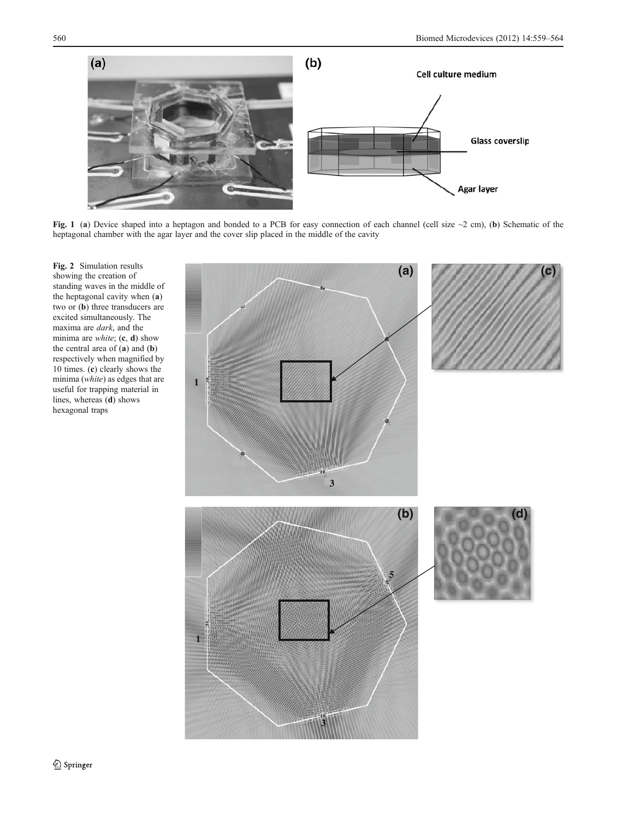<span id="page-1-0"></span>

Fig. 1 (a) Device shaped into a heptagon and bonded to a PCB for easy connection of each channel (cell size ~2 cm), (b) Schematic of the heptagonal chamber with the agar layer and the cover slip placed in the middle of the cavity

Fig. 2 Simulation results showing the creation of standing waves in the middle of the heptagonal cavity when (a) two or (b) three transducers are excited simultaneously. The maxima are dark, and the minima are *white*;  $(c, d)$  show the central area of  $(a)$  and  $(b)$ respectively when magnified by 10 times. (c) clearly shows the minima (white) as edges that are useful for trapping material in lines, whereas (d) shows hexagonal traps

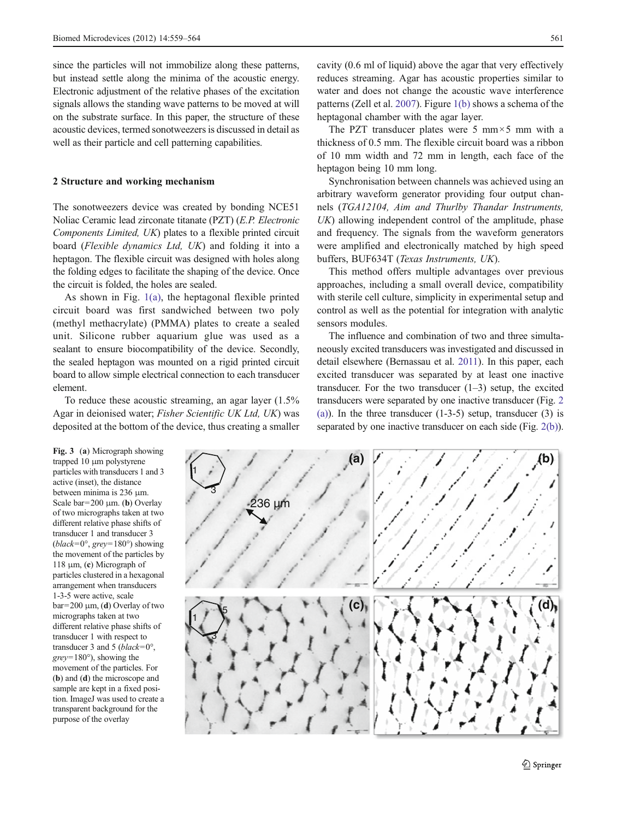<span id="page-2-0"></span>since the particles will not immobilize along these patterns, but instead settle along the minima of the acoustic energy. Electronic adjustment of the relative phases of the excitation signals allows the standing wave patterns to be moved at will on the substrate surface. In this paper, the structure of these acoustic devices, termed sonotweezers is discussed in detail as well as their particle and cell patterning capabilities.

## 2 Structure and working mechanism

The sonotweezers device was created by bonding NCE51 Noliac Ceramic lead zirconate titanate (PZT) (E.P. Electronic Components Limited, UK) plates to a flexible printed circuit board (Flexible dynamics Ltd, UK) and folding it into a heptagon. The flexible circuit was designed with holes along the folding edges to facilitate the shaping of the device. Once the circuit is folded, the holes are sealed.

As shown in Fig. [1\(a\)](#page-1-0), the heptagonal flexible printed circuit board was first sandwiched between two poly (methyl methacrylate) (PMMA) plates to create a sealed unit. Silicone rubber aquarium glue was used as a sealant to ensure biocompatibility of the device. Secondly, the sealed heptagon was mounted on a rigid printed circuit board to allow simple electrical connection to each transducer element.

To reduce these acoustic streaming, an agar layer (1.5% Agar in deionised water; Fisher Scientific UK Ltd, UK) was deposited at the bottom of the device, thus creating a smaller cavity (0.6 ml of liquid) above the agar that very effectively reduces streaming. Agar has acoustic properties similar to water and does not change the acoustic wave interference patterns (Zell et al. [2007\)](#page-5-0). Figure [1\(b\)](#page-1-0) shows a schema of the heptagonal chamber with the agar layer.

The PZT transducer plates were 5 mm $\times$ 5 mm with a thickness of 0.5 mm. The flexible circuit board was a ribbon of 10 mm width and 72 mm in length, each face of the heptagon being 10 mm long.

Synchronisation between channels was achieved using an arbitrary waveform generator providing four output channels (TGA12104, Aim and Thurlby Thandar Instruments, UK) allowing independent control of the amplitude, phase and frequency. The signals from the waveform generators were amplified and electronically matched by high speed buffers, BUF634T (Texas Instruments, UK).

This method offers multiple advantages over previous approaches, including a small overall device, compatibility with sterile cell culture, simplicity in experimental setup and control as well as the potential for integration with analytic sensors modules.

The influence and combination of two and three simultaneously excited transducers was investigated and discussed in detail elsewhere (Bernassau et al. [2011\)](#page-5-0). In this paper, each excited transducer was separated by at least one inactive transducer. For the two transducer  $(1-3)$  setup, the excited transducers were separated by one inactive transducer (Fig. [2](#page-1-0) [\(a\)\)](#page-1-0). In the three transducer  $(1-3-5)$  setup, transducer  $(3)$  is separated by one inactive transducer on each side (Fig. [2\(b\)\)](#page-1-0).

Fig. 3 (a) Micrograph showing trapped 10 μm polystyrene particles with transducers 1 and 3 active (inset), the distance between minima is 236 μm. Scale bar=200  $\mu$ m. (b) Overlay of two micrographs taken at two different relative phase shifts of transducer 1 and transducer 3 (*black*=0°, *grey*=180°) showing the movement of the particles by 118 μm, (c) Micrograph of particles clustered in a hexagonal arrangement when transducers 1-3-5 were active, scale  $bar=200 \mu m$ , (d) Overlay of two micrographs taken at two different relative phase shifts of transducer 1 with respect to transducer 3 and 5 (black= $0^{\circ}$ ,  $grey=180^{\circ}$ ), showing the movement of the particles. For (b) and (d) the microscope and sample are kept in a fixed position. ImageJ was used to create a transparent background for the purpose of the overlay

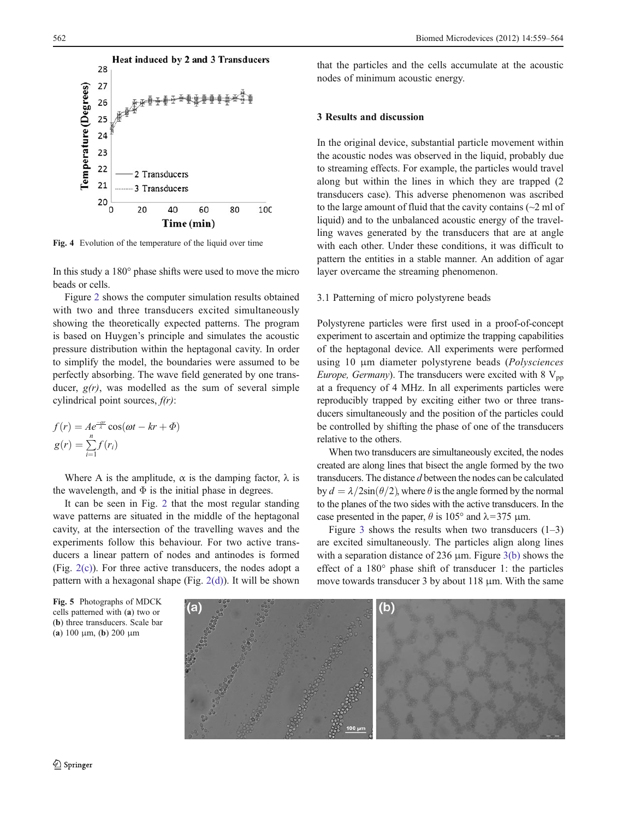<span id="page-3-0"></span>

Fig. 4 Evolution of the temperature of the liquid over time

In this study a 180° phase shifts were used to move the micro beads or cells.

Figure [2](#page-1-0) shows the computer simulation results obtained with two and three transducers excited simultaneously showing the theoretically expected patterns. The program is based on Huygen's principle and simulates the acoustic pressure distribution within the heptagonal cavity. In order to simplify the model, the boundaries were assumed to be perfectly absorbing. The wave field generated by one transducer,  $g(r)$ , was modelled as the sum of several simple cylindrical point sources,  $f(r)$ :

$$
f(r) = Ae^{\frac{-\alpha r}{\lambda}} \cos(\omega t - kr + \Phi)
$$

$$
g(r) = \sum_{i=1}^{n} f(r_i)
$$

Where A is the amplitude,  $\alpha$  is the damping factor,  $\lambda$  is the wavelength, and  $\Phi$  is the initial phase in degrees.

It can be seen in Fig. [2](#page-1-0) that the most regular standing wave patterns are situated in the middle of the heptagonal cavity, at the intersection of the travelling waves and the experiments follow this behaviour. For two active transducers a linear pattern of nodes and antinodes is formed (Fig. [2\(c\)](#page-1-0)). For three active transducers, the nodes adopt a pattern with a hexagonal shape (Fig. [2\(d\)\)](#page-1-0). It will be shown

that the particles and the cells accumulate at the acoustic nodes of minimum acoustic energy.

## 3 Results and discussion

In the original device, substantial particle movement within the acoustic nodes was observed in the liquid, probably due to streaming effects. For example, the particles would travel along but within the lines in which they are trapped (2 transducers case). This adverse phenomenon was ascribed to the large amount of fluid that the cavity contains (~2 ml of liquid) and to the unbalanced acoustic energy of the travelling waves generated by the transducers that are at angle with each other. Under these conditions, it was difficult to pattern the entities in a stable manner. An addition of agar layer overcame the streaming phenomenon.

#### 3.1 Patterning of micro polystyrene beads

Polystyrene particles were first used in a proof-of-concept experiment to ascertain and optimize the trapping capabilities of the heptagonal device. All experiments were performed using 10 μm diameter polystyrene beads (Polysciences *Europe, Germany*). The transducers were excited with  $8 V_{\text{pp}}$ at a frequency of 4 MHz. In all experiments particles were reproducibly trapped by exciting either two or three transducers simultaneously and the position of the particles could be controlled by shifting the phase of one of the transducers relative to the others.

When two transducers are simultaneously excited, the nodes created are along lines that bisect the angle formed by the two transducers. The distance d between the nodes can be calculated by  $d = \lambda/2\sin(\theta/2)$ , where  $\theta$  is the angle formed by the normal to the planes of the two sides with the active transducers. In the case presented in the paper,  $\theta$  is 105° and  $\lambda$ =375 µm.

Figure [3](#page-2-0) shows the results when two transducers  $(1-3)$ are excited simultaneously. The particles align along lines with a separation distance of 236  $\mu$ m. Figure [3\(b\)](#page-2-0) shows the effect of a 180° phase shift of transducer 1: the particles move towards transducer 3 by about 118 μm. With the same

Fig. 5 Photographs of MDCK cells patterned with (a) two or (b) three transducers. Scale bar (a) 100 μm, (b) 200 μm

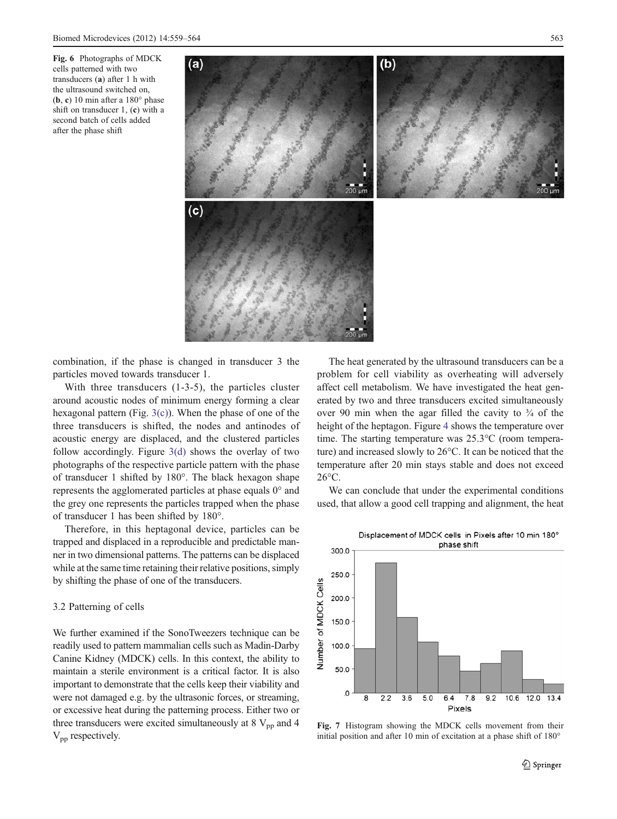<span id="page-4-0"></span>Fig. 6 Photographs of MDCK cells patterned with two transducers (a) after 1 h with the ultrasound switched on, (b, c) 10 min after a 180° phase shift on transducer 1, (c) with a second batch of cells added after the phase shift



combination, if the phase is changed in transducer 3 the particles moved towards transducer 1.

With three transducers (1-3-5), the particles cluster around acoustic nodes of minimum energy forming a clear hexagonal pattern (Fig.  $3(c)$ ). When the phase of one of the three transducers is shifted, the nodes and antinodes of acoustic energy are displaced, and the clustered particles follow accordingly. Figure  $3(d)$  shows the overlay of two photographs of the respective particle pattern with the phase of transducer 1 shifted by 180°. The black hexagon shape represents the agglomerated particles at phase equals 0° and the grey one represents the particles trapped when the phase of transducer 1 has been shifted by 180°.

Therefore, in this heptagonal device, particles can be trapped and displaced in a reproducible and predictable manner in two dimensional patterns. The patterns can be displaced while at the same time retaining their relative positions, simply by shifting the phase of one of the transducers.

## 3.2 Patterning of cells

We further examined if the SonoTweezers technique can be readily used to pattern mammalian cells such as Madin-Darby Canine Kidney (MDCK) cells. In this context, the ability to maintain a sterile environment is a critical factor. It is also important to demonstrate that the cells keep their viability and were not damaged e.g. by the ultrasonic forces, or streaming, or excessive heat during the patterning process. Either two or three transducers were excited simultaneously at  $8V_{\text{pp}}$  and  $4$  $V_{\text{nn}}$  respectively.

The heat generated by the ultrasound transducers can be a problem for cell viability as overheating will adversely affect cell metabolism. We have investigated the heat generated by two and three transducers excited simultaneously over 90 min when the agar filled the cavity to  $\frac{3}{4}$  of the height of the heptagon. Figure [4](#page-3-0) shows the temperature over time. The starting temperature was 25.3°C (room temperature) and increased slowly to 26°C. It can be noticed that the temperature after 20 min stays stable and does not exceed 26°C.

We can conclude that under the experimental conditions used, that allow a good cell trapping and alignment, the heat



Fig. 7 Histogram showing the MDCK cells movement from their initial position and after 10 min of excitation at a phase shift of 180°